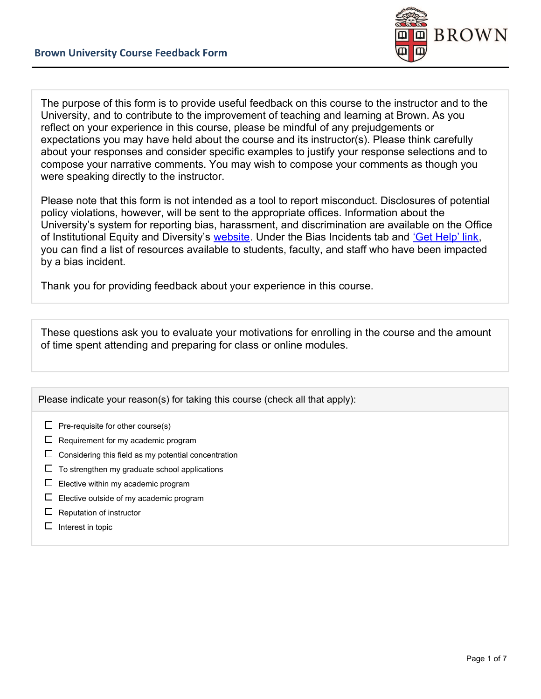

The purpose of this form is to provide useful feedback on this course to the instructor and to the University, and to contribute to the improvement of teaching and learning at Brown. As you reflect on your experience in this course, please be mindful of any prejudgements or expectations you may have held about the course and its instructor(s). Please think carefully about your responses and consider specific examples to justify your response selections and to compose your narrative comments. You may wish to compose your comments as though you were speaking directly to the instructor.

Please note that this form is not intended as a tool to report misconduct. Disclosures of potential policy violations, however, will be sent to the appropriate offices. Information about the University's system for reporting bias, harassment, and discrimination are available on the Office of Institutional Equity and Diversity's [website](https://www.brown.edu/about/administration/institutional-diversity/incident-reporting). Under the Bias Incidents tab and ['Get Help' link](https://www.brown.edu/about/administration/institutional-diversity/incident-reporting/bias-incidents/resources), you can find a list of resources available to students, faculty, and staff who have been impacted by a bias incident.

Thank you for providing feedback about your experience in this course.

These questions ask you to evaluate your motivations for enrolling in the course and the amount of time spent attending and preparing for class or online modules.

Please indicate your reason(s) for taking this course (check all that apply):

- $\Box$  Pre-requisite for other course(s)
- $\square$  Requirement for my academic program
- $\square$  Considering this field as my potential concentration
- $\square$  To strengthen my graduate school applications
- $\square$  Elective within my academic program
- $\square$  Elective outside of my academic program
- $\Box$  Reputation of instructor
- $\Box$  Interest in topic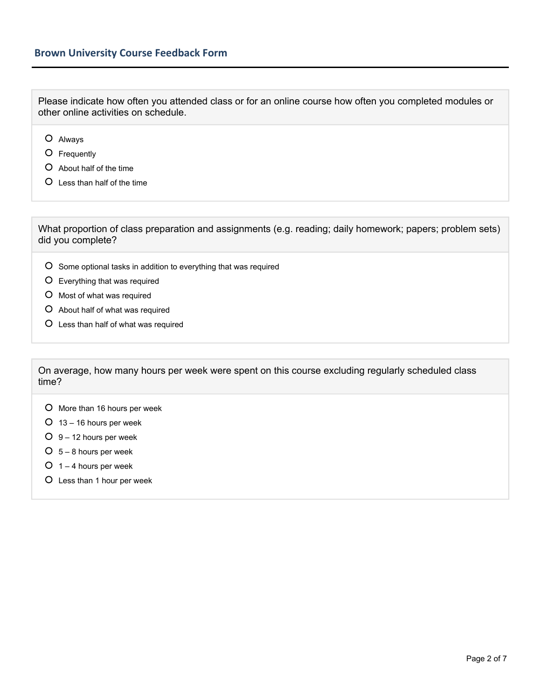Please indicate how often you attended class or for an online course how often you completed modules or other online activities on schedule.

- Always
- Frequently
- About half of the time
- Less than half of the time

What proportion of class preparation and assignments (e.g. reading; daily homework; papers; problem sets) did you complete?

- O Some optional tasks in addition to everything that was required
- Everything that was required
- O Most of what was required
- About half of what was required
- Less than half of what was required

On average, how many hours per week were spent on this course excluding regularly scheduled class time?

- O More than 16 hours per week
- $O$  13 16 hours per week
- $O \ 9 12$  hours per week
- $O$  5 8 hours per week
- $O$  1 4 hours per week
- Less than 1 hour per week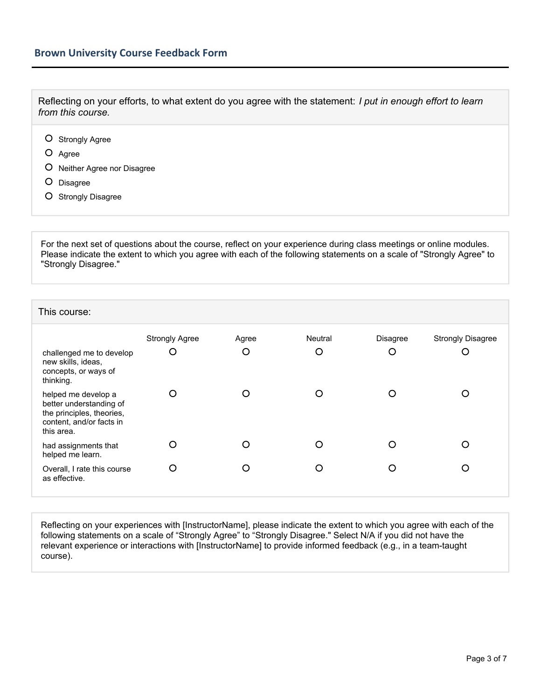Reflecting on your efforts, to what extent do you agree with the statement: *I put in enough effort to learn from this course.*

- O Strongly Agree
- O Agree
- O Neither Agree nor Disagree
- O Disagree
- O Strongly Disagree

For the next set of questions about the course, reflect on your experience during class meetings or online modules. Please indicate the extent to which you agree with each of the following statements on a scale of "Strongly Agree" to "Strongly Disagree."

## This course: Strongly Agree Agree Neutral Disagree Strongly Disagree challenged me to develop new skills, ideas, concepts, or ways of thinking.  $\circ$  $\circ$  $\circ$  $\circ$  $\circ$ helped me develop a better understanding of the principles, theories, content, and/or facts in this area.  $\circ$  $\circ$  $\circ$  $\circ$  $\circ$ had assignments that helped me learn.  $\Omega$  $\Omega$  $\Omega$  $\Omega$  $\Omega$ Overall, I rate this course as effective.

Reflecting on your experiences with [InstructorName], please indicate the extent to which you agree with each of the following statements on a scale of "Strongly Agree" to "Strongly Disagree." Select N/A if you did not have the relevant experience or interactions with [InstructorName] to provide informed feedback (e.g., in a team-taught course).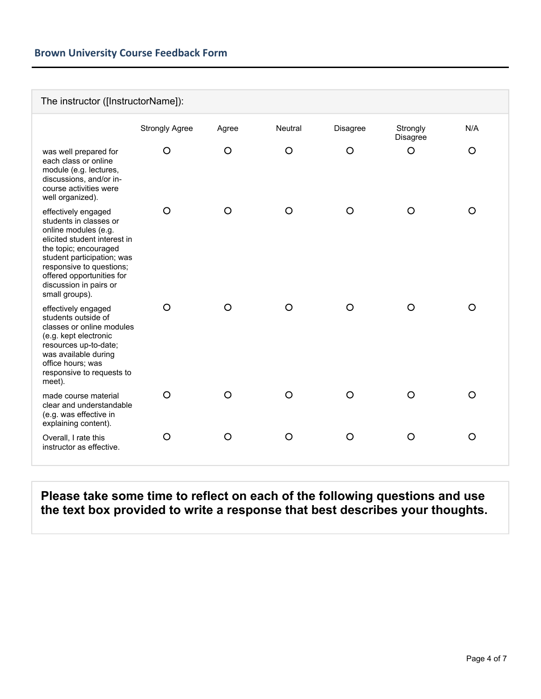## **Brown University Course Feedback Form**

| The instructor ([InstructorName]):                                                                                                                                                                                                                                |                       |         |                |          |                      |          |  |  |  |
|-------------------------------------------------------------------------------------------------------------------------------------------------------------------------------------------------------------------------------------------------------------------|-----------------------|---------|----------------|----------|----------------------|----------|--|--|--|
|                                                                                                                                                                                                                                                                   | <b>Strongly Agree</b> | Agree   | <b>Neutral</b> | Disagree | Strongly<br>Disagree | N/A      |  |  |  |
| was well prepared for<br>each class or online<br>module (e.g. lectures,<br>discussions, and/or in-<br>course activities were<br>well organized).                                                                                                                  | $\circ$               | $\circ$ | $\circ$        | $\circ$  | O                    | $\circ$  |  |  |  |
| effectively engaged<br>students in classes or<br>online modules (e.g.<br>elicited student interest in<br>the topic; encouraged<br>student participation; was<br>responsive to questions;<br>offered opportunities for<br>discussion in pairs or<br>small groups). | $\circ$               | O       | O              | $\circ$  | $\circ$              | O        |  |  |  |
| effectively engaged<br>students outside of<br>classes or online modules<br>(e.g. kept electronic<br>resources up-to-date;<br>was available during<br>office hours; was<br>responsive to requests to<br>meet).                                                     | $\circ$               | $\circ$ | $\circ$        | $\circ$  | O                    | $\circ$  |  |  |  |
| made course material<br>clear and understandable<br>(e.g. was effective in<br>explaining content).                                                                                                                                                                | $\circ$               | O       | O              | O        | O                    | $\Omega$ |  |  |  |
| Overall, I rate this<br>instructor as effective.                                                                                                                                                                                                                  | $\circ$               | O       | O              | O        | O                    | $\circ$  |  |  |  |

**Please take some time to reflect on each of the following questions and use the text box provided to write a response that best describes your thoughts.**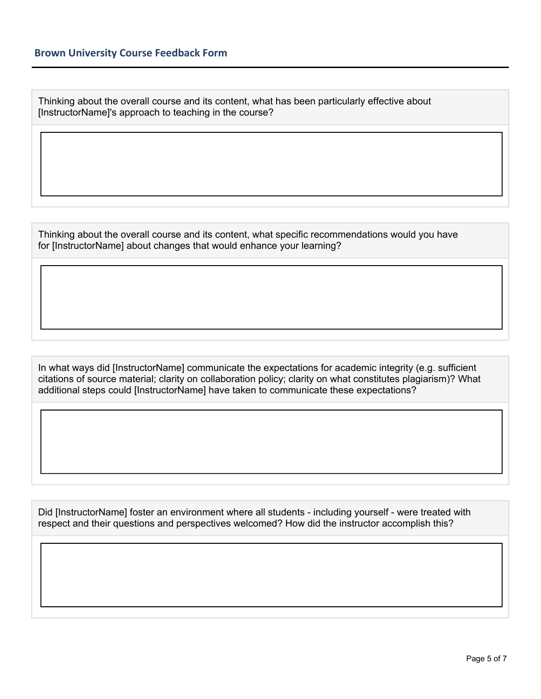Thinking about the overall course and its content, what has been particularly effective about [InstructorName]'s approach to teaching in the course?

Thinking about the overall course and its content, what specific recommendations would you have for [InstructorName] about changes that would enhance your learning?

In what ways did [InstructorName] communicate the expectations for academic integrity (e.g. sufficient citations of source material; clarity on collaboration policy; clarity on what constitutes plagiarism)? What additional steps could [InstructorName] have taken to communicate these expectations?

Did [InstructorName] foster an environment where all students - including yourself - were treated with respect and their questions and perspectives welcomed? How did the instructor accomplish this?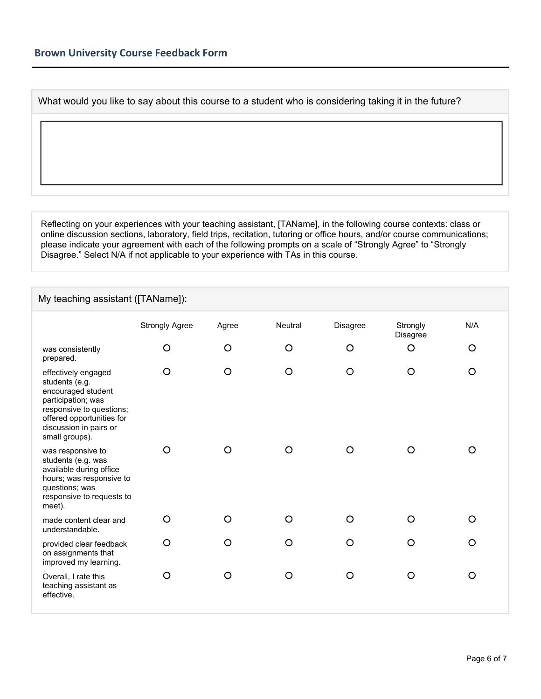What would you like to say about this course to a student who is considering taking it in the future?

Reflecting on your experiences with your teaching assistant, [TAName], in the following course contexts: class or online discussion sections, laboratory, field trips, recitation, tutoring or office hours, and/or course communications; please indicate your agreement with each of the following prompts on a scale of "Strongly Agree" to "Strongly Disagree." Select N/A if not applicable to your experience with TAs in this course.

## My teaching assistant ([TAName]):

|                                                                                                                                                                                        | <b>Strongly Agree</b> | Agree | Neutral | Disagree | Strongly<br>Disagree | N/A      |
|----------------------------------------------------------------------------------------------------------------------------------------------------------------------------------------|-----------------------|-------|---------|----------|----------------------|----------|
| was consistently<br>prepared.                                                                                                                                                          | O                     | O     | $\circ$ | $\circ$  | O                    | O        |
| effectively engaged<br>students (e.g.<br>encouraged student<br>participation; was<br>responsive to questions;<br>offered opportunities for<br>discussion in pairs or<br>small groups). | O                     | O     | O       | O        | O                    | $\circ$  |
| was responsive to<br>students (e.g. was<br>available during office<br>hours; was responsive to<br>questions; was<br>responsive to requests to<br>meet).                                | O                     | O     | O       | $\Omega$ | Ω                    | O        |
| made content clear and<br>understandable.                                                                                                                                              | O                     | O     | O       | O        | O                    | $\Omega$ |
| provided clear feedback<br>on assignments that<br>improved my learning.                                                                                                                | $\circ$               | O     | O       | $\circ$  | O                    | $\circ$  |
| Overall, I rate this<br>teaching assistant as<br>effective.                                                                                                                            | O                     | O     | O       | $\circ$  | O                    | $\circ$  |